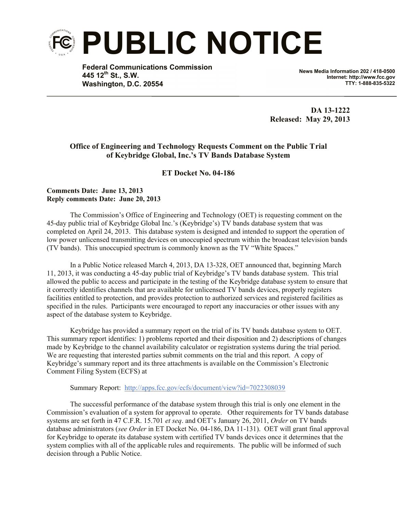

**Federal Communications Commission 445 12th St., S.W. Washington, D.C. 20554**

**News Media Information 202 / 418-0500 Internet: http://www.fcc.gov TTY: 1-888-835-5322**

**DA 13-1222 Released: May 29, 2013**

## **Office of Engineering and Technology Requests Comment on the Public Trial of Keybridge Global, Inc.'s TV Bands Database System**

## **ET Docket No. 04-186**

## **Comments Date: June 13, 2013 Reply comments Date: June 20, 2013**

The Commission's Office of Engineering and Technology (OET) is requesting comment on the 45-day public trial of Keybridge Global Inc.'s (Keybridge's) TV bands database system that was completed on April 24, 2013. This database system is designed and intended to support the operation of low power unlicensed transmitting devices on unoccupied spectrum within the broadcast television bands (TV bands). This unoccupied spectrum is commonly known as the TV "White Spaces."

In a Public Notice released March 4, 2013, DA 13-328, OET announced that, beginning March 11, 2013, it was conducting a 45-day public trial of Keybridge's TV bands database system. This trial allowed the public to access and participate in the testing of the Keybridge database system to ensure that it correctly identifies channels that are available for unlicensed TV bands devices, properly registers facilities entitled to protection, and provides protection to authorized services and registered facilities as specified in the rules. Participants were encouraged to report any inaccuracies or other issues with any aspect of the database system to Keybridge.

Keybridge has provided a summary report on the trial of its TV bands database system to OET. This summary report identifies: 1) problems reported and their disposition and 2) descriptions of changes made by Keybridge to the channel availability calculator or registration systems during the trial period. We are requesting that interested parties submit comments on the trial and this report. A copy of Keybridge's summary report and its three attachments is available on the Commission's Electronic Comment Filing System (ECFS) at

## Summary Report: http://apps.fcc.gov/ecfs/document/view?id=7022308039

The successful performance of the database system through this trial is only one element in the Commission's evaluation of a system for approval to operate. Other requirements for TV bands database systems are set forth in 47 C.F.R. 15.701 *et seq*. and OET's January 26, 2011, *Order* on TV bands database administrators (*see Order* in ET Docket No. 04-186, DA 11-131). OET will grant final approval for Keybridge to operate its database system with certified TV bands devices once it determines that the system complies with all of the applicable rules and requirements. The public will be informed of such decision through a Public Notice.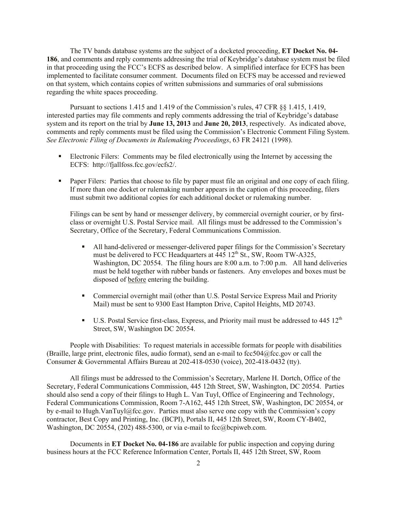The TV bands database systems are the subject of a docketed proceeding, **ET Docket No. 04- 186**, and comments and reply comments addressing the trial of Keybridge's database system must be filed in that proceeding using the FCC's ECFS as described below. A simplified interface for ECFS has been implemented to facilitate consumer comment. Documents filed on ECFS may be accessed and reviewed on that system, which contains copies of written submissions and summaries of oral submissions regarding the white spaces proceeding.

Pursuant to sections 1.415 and 1.419 of the Commission's rules, 47 CFR §§ 1.415, 1.419, interested parties may file comments and reply comments addressing the trial of Keybridge's database system and its report on the trial by **June 13, 2013** and **June 20, 2013**, respectively. As indicated above, comments and reply comments must be filed using the Commission's Electronic Comment Filing System. *See Electronic Filing of Documents in Rulemaking Proceedings*, 63 FR 24121 (1998).

- Electronic Filers: Comments may be filed electronically using the Internet by accessing the ECFS: http://fjallfoss.fcc.gov/ecfs2/.
- Paper Filers: Parties that choose to file by paper must file an original and one copy of each filing. If more than one docket or rulemaking number appears in the caption of this proceeding, filers must submit two additional copies for each additional docket or rulemaking number.

Filings can be sent by hand or messenger delivery, by commercial overnight courier, or by firstclass or overnight U.S. Postal Service mail. All filings must be addressed to the Commission's Secretary, Office of the Secretary, Federal Communications Commission.

- All hand-delivered or messenger-delivered paper filings for the Commission's Secretary must be delivered to FCC Headquarters at  $\frac{445}{12}$ th St., SW, Room TW-A325, Washington, DC 20554. The filing hours are 8:00 a.m. to 7:00 p.m. All hand deliveries must be held together with rubber bands or fasteners. Any envelopes and boxes must be disposed of before entering the building.
- Commercial overnight mail (other than U.S. Postal Service Express Mail and Priority Mail) must be sent to 9300 East Hampton Drive, Capitol Heights, MD 20743.
- U.S. Postal Service first-class, Express, and Priority mail must be addressed to  $445 \, 12^{th}$ Street, SW, Washington DC 20554.

People with Disabilities: To request materials in accessible formats for people with disabilities (Braille, large print, electronic files, audio format), send an e-mail to fcc504@fcc.gov or call the Consumer & Governmental Affairs Bureau at 202-418-0530 (voice), 202-418-0432 (tty).

All filings must be addressed to the Commission's Secretary, Marlene H. Dortch, Office of the Secretary, Federal Communications Commission, 445 12th Street, SW, Washington, DC 20554. Parties should also send a copy of their filings to Hugh L. Van Tuyl, Office of Engineering and Technology, Federal Communications Commission, Room 7-A162, 445 12th Street, SW, Washington, DC 20554, or by e-mail to Hugh.VanTuyl@fcc.gov. Parties must also serve one copy with the Commission's copy contractor, Best Copy and Printing, Inc. (BCPI), Portals II, 445 12th Street, SW, Room CY-B402, Washington, DC 20554, (202) 488-5300, or via e-mail to  $fcc@bcpi$  web.com.

Documents in **ET Docket No. 04-186** are available for public inspection and copying during business hours at the FCC Reference Information Center, Portals II, 445 12th Street, SW, Room